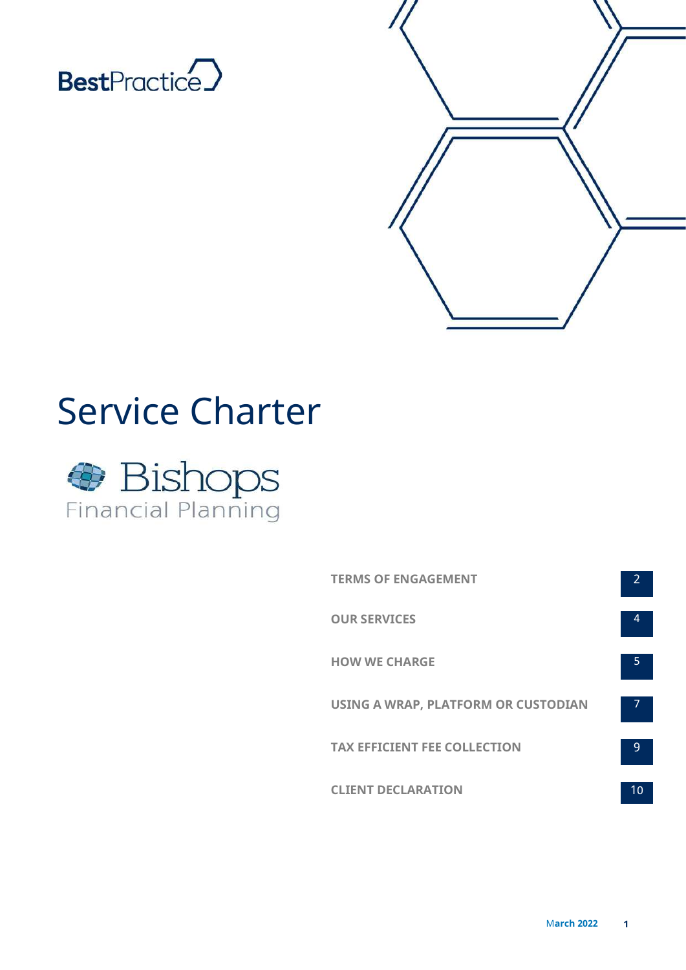



# Service Charter



| <b>TERMS OF ENGAGEMENT</b>          | 2 |
|-------------------------------------|---|
| <b>OUR SERVICES</b>                 | Δ |
| <b>HOW WE CHARGE</b>                | 5 |
| USING A WRAP, PLATFORM OR CUSTODIAN |   |
| <b>TAX EFFICIENT FEE COLLECTION</b> | q |
| <b>CLIENT DECLARATION</b>           |   |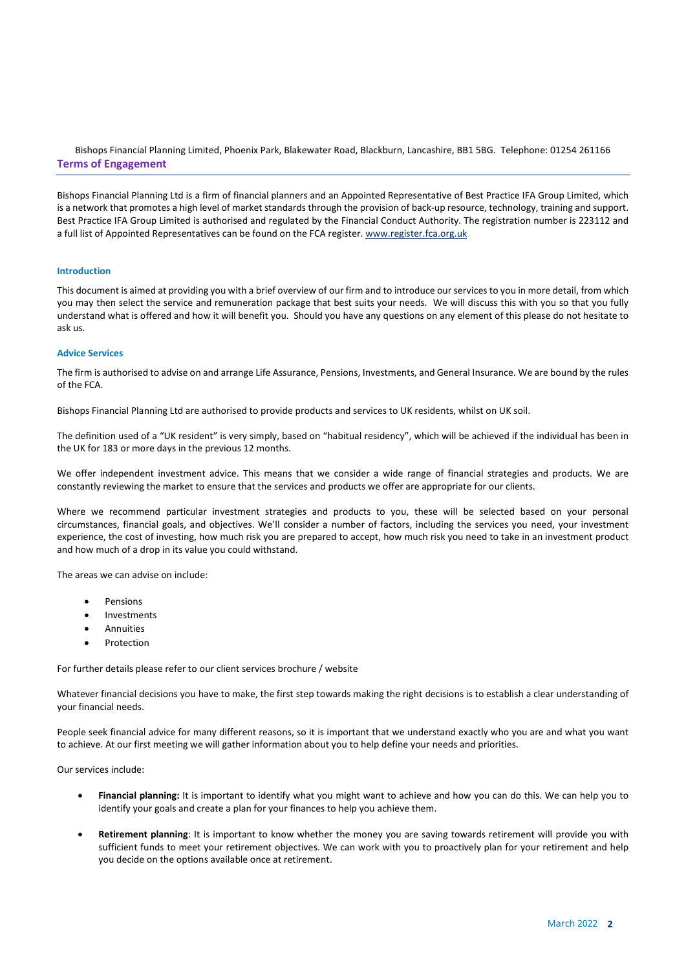Bishops Financial Planning Limited, Phoenix Park, Blakewater Road, Blackburn, Lancashire, BB1 5BG. Telephone: 01254 261166 Terms of Engagement

Bishops Financial Planning Ltd is a firm of financial planners and an Appointed Representative of Best Practice IFA Group Limited, which is a network that promotes a high level of market standards through the provision of back-up resource, technology, training and support. Best Practice IFA Group Limited is authorised and regulated by the Financial Conduct Authority. The registration number is 223112 and a full list of Appointed Representatives can be found on the FCA register. www.register.fca.org.uk

# Introduction

This document is aimed at providing you with a brief overview of our firm and to introduce our services to you in more detail, from which you may then select the service and remuneration package that best suits your needs. We will discuss this with you so that you fully understand what is offered and how it will benefit you. Should you have any questions on any element of this please do not hesitate to ask us.

# Advice Services

The firm is authorised to advise on and arrange Life Assurance, Pensions, Investments, and General Insurance. We are bound by the rules of the FCA.

Bishops Financial Planning Ltd are authorised to provide products and services to UK residents, whilst on UK soil.

The definition used of a "UK resident" is very simply, based on "habitual residency", which will be achieved if the individual has been in the UK for 183 or more days in the previous 12 months.

We offer independent investment advice. This means that we consider a wide range of financial strategies and products. We are constantly reviewing the market to ensure that the services and products we offer are appropriate for our clients.

Where we recommend particular investment strategies and products to you, these will be selected based on your personal circumstances, financial goals, and objectives. We'll consider a number of factors, including the services you need, your investment experience, the cost of investing, how much risk you are prepared to accept, how much risk you need to take in an investment product and how much of a drop in its value you could withstand.

The areas we can advise on include:

- Pensions
- **•** Investments
- **•** Annuities
- Protection

For further details please refer to our client services brochure / website

Whatever financial decisions you have to make, the first step towards making the right decisions is to establish a clear understanding of your financial needs.

People seek financial advice for many different reasons, so it is important that we understand exactly who you are and what you want to achieve. At our first meeting we will gather information about you to help define your needs and priorities.

Our services include:

- Financial planning: It is important to identify what you might want to achieve and how you can do this. We can help you to identify your goals and create a plan for your finances to help you achieve them.
- Retirement planning: It is important to know whether the money you are saving towards retirement will provide you with sufficient funds to meet your retirement objectives. We can work with you to proactively plan for your retirement and help you decide on the options available once at retirement.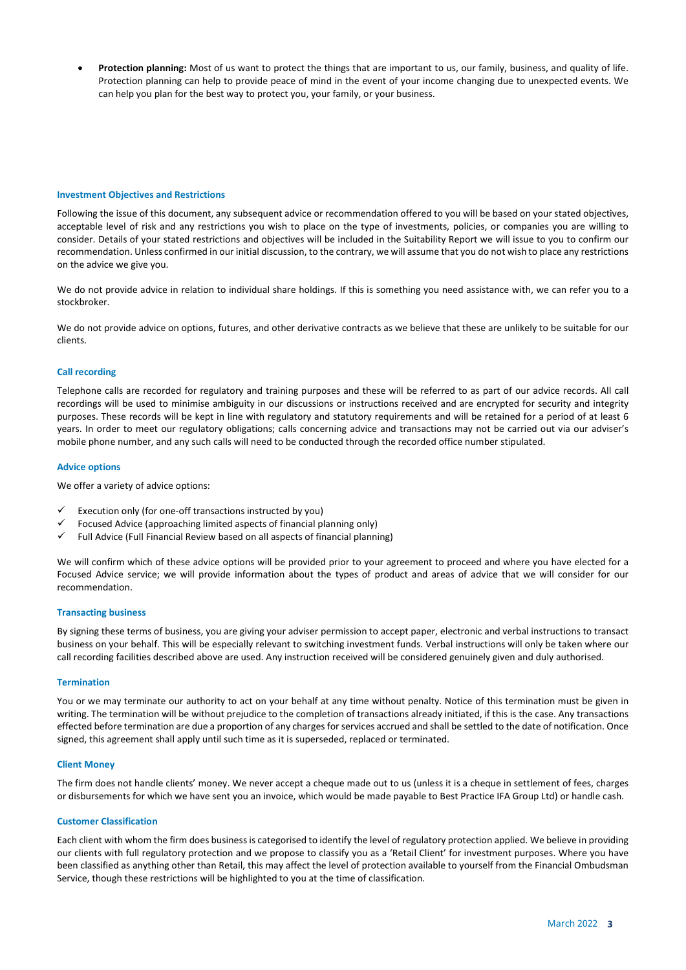Protection planning: Most of us want to protect the things that are important to us, our family, business, and quality of life. Protection planning can help to provide peace of mind in the event of your income changing due to unexpected events. We can help you plan for the best way to protect you, your family, or your business.

## Investment Objectives and Restrictions

Following the issue of this document, any subsequent advice or recommendation offered to you will be based on your stated objectives, acceptable level of risk and any restrictions you wish to place on the type of investments, policies, or companies you are willing to consider. Details of your stated restrictions and objectives will be included in the Suitability Report we will issue to you to confirm our recommendation. Unless confirmed in our initial discussion, to the contrary, we will assume that you do not wish to place any restrictions on the advice we give you.

We do not provide advice in relation to individual share holdings. If this is something you need assistance with, we can refer you to a stockbroker.

We do not provide advice on options, futures, and other derivative contracts as we believe that these are unlikely to be suitable for our clients.

# Call recording

Telephone calls are recorded for regulatory and training purposes and these will be referred to as part of our advice records. All call recordings will be used to minimise ambiguity in our discussions or instructions received and are encrypted for security and integrity purposes. These records will be kept in line with regulatory and statutory requirements and will be retained for a period of at least 6 years. In order to meet our regulatory obligations; calls concerning advice and transactions may not be carried out via our adviser's mobile phone number, and any such calls will need to be conducted through the recorded office number stipulated.

#### Advice options

We offer a variety of advice options:

- Execution only (for one-off transactions instructed by you)
- Focused Advice (approaching limited aspects of financial planning only)
- Full Advice (Full Financial Review based on all aspects of financial planning)

We will confirm which of these advice options will be provided prior to your agreement to proceed and where you have elected for a Focused Advice service; we will provide information about the types of product and areas of advice that we will consider for our recommendation.

# Transacting business

By signing these terms of business, you are giving your adviser permission to accept paper, electronic and verbal instructions to transact business on your behalf. This will be especially relevant to switching investment funds. Verbal instructions will only be taken where our call recording facilities described above are used. Any instruction received will be considered genuinely given and duly authorised.

#### **Termination**

You or we may terminate our authority to act on your behalf at any time without penalty. Notice of this termination must be given in writing. The termination will be without prejudice to the completion of transactions already initiated, if this is the case. Any transactions effected before termination are due a proportion of any charges for services accrued and shall be settled to the date of notification. Once signed, this agreement shall apply until such time as it is superseded, replaced or terminated.

## Client Money

The firm does not handle clients' money. We never accept a cheque made out to us (unless it is a cheque in settlement of fees, charges or disbursements for which we have sent you an invoice, which would be made payable to Best Practice IFA Group Ltd) or handle cash.

#### Customer Classification

Each client with whom the firm does business is categorised to identify the level of regulatory protection applied. We believe in providing our clients with full regulatory protection and we propose to classify you as a 'Retail Client' for investment purposes. Where you have been classified as anything other than Retail, this may affect the level of protection available to yourself from the Financial Ombudsman Service, though these restrictions will be highlighted to you at the time of classification.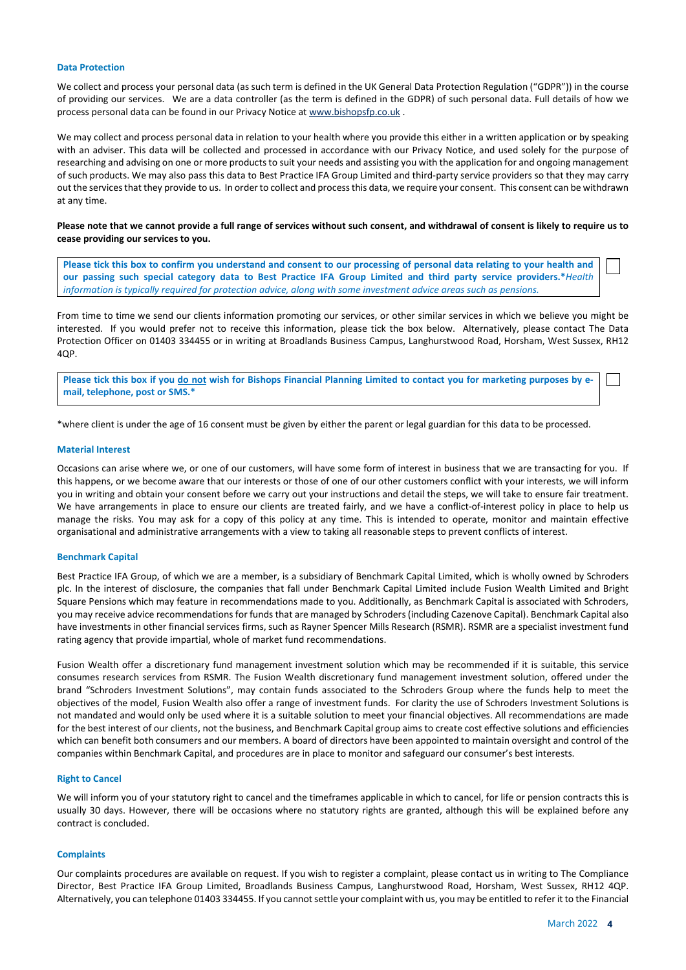## Data Protection

We collect and process your personal data (as such term is defined in the UK General Data Protection Regulation ("GDPR")) in the course of providing our services. We are a data controller (as the term is defined in the GDPR) of such personal data. Full details of how we process personal data can be found in our Privacy Notice at www.bishopsfp.co.uk.

We may collect and process personal data in relation to your health where you provide this either in a written application or by speaking with an adviser. This data will be collected and processed in accordance with our Privacy Notice, and used solely for the purpose of researching and advising on one or more products to suit your needs and assisting you with the application for and ongoing management of such products. We may also pass this data to Best Practice IFA Group Limited and third-party service providers so that they may carry out the services that they provide to us. In order to collect and process this data, we require your consent. This consent can be withdrawn at any time.

# Please note that we cannot provide a full range of services without such consent, and withdrawal of consent is likely to require us to cease providing our services to you.

Please tick this box to confirm you understand and consent to our processing of personal data relating to your health and our passing such special category data to Best Practice IFA Group Limited and third party service providers.\*Health information is typically required for protection advice, along with some investment advice areas such as pensions.

From time to time we send our clients information promoting our services, or other similar services in which we believe you might be interested. If you would prefer not to receive this information, please tick the box below. Alternatively, please contact The Data Protection Officer on 01403 334455 or in writing at Broadlands Business Campus, Langhurstwood Road, Horsham, West Sussex, RH12  $4OP$ 

Please tick this box if you do not wish for Bishops Financial Planning Limited to contact you for marketing purposes by email, telephone, post or SMS.\*

\*where client is under the age of 16 consent must be given by either the parent or legal guardian for this data to be processed.

# Material Interest

Occasions can arise where we, or one of our customers, will have some form of interest in business that we are transacting for you. If this happens, or we become aware that our interests or those of one of our other customers conflict with your interests, we will inform you in writing and obtain your consent before we carry out your instructions and detail the steps, we will take to ensure fair treatment. We have arrangements in place to ensure our clients are treated fairly, and we have a conflict-of-interest policy in place to help us manage the risks. You may ask for a copy of this policy at any time. This is intended to operate, monitor and maintain effective organisational and administrative arrangements with a view to taking all reasonable steps to prevent conflicts of interest.

## Benchmark Capital

Best Practice IFA Group, of which we are a member, is a subsidiary of Benchmark Capital Limited, which is wholly owned by Schroders plc. In the interest of disclosure, the companies that fall under Benchmark Capital Limited include Fusion Wealth Limited and Bright Square Pensions which may feature in recommendations made to you. Additionally, as Benchmark Capital is associated with Schroders, you may receive advice recommendations for funds that are managed by Schroders (including Cazenove Capital). Benchmark Capital also have investments in other financial services firms, such as Rayner Spencer Mills Research (RSMR). RSMR are a specialist investment fund rating agency that provide impartial, whole of market fund recommendations.

Fusion Wealth offer a discretionary fund management investment solution which may be recommended if it is suitable, this service consumes research services from RSMR. The Fusion Wealth discretionary fund management investment solution, offered under the brand "Schroders Investment Solutions", may contain funds associated to the Schroders Group where the funds help to meet the objectives of the model, Fusion Wealth also offer a range of investment funds. For clarity the use of Schroders Investment Solutions is not mandated and would only be used where it is a suitable solution to meet your financial objectives. All recommendations are made for the best interest of our clients, not the business, and Benchmark Capital group aims to create cost effective solutions and efficiencies which can benefit both consumers and our members. A board of directors have been appointed to maintain oversight and control of the companies within Benchmark Capital, and procedures are in place to monitor and safeguard our consumer's best interests.

#### Right to Cancel

We will inform you of your statutory right to cancel and the timeframes applicable in which to cancel, for life or pension contracts this is usually 30 days. However, there will be occasions where no statutory rights are granted, although this will be explained before any contract is concluded.

# **Complaints**

Our complaints procedures are available on request. If you wish to register a complaint, please contact us in writing to The Compliance Director, Best Practice IFA Group Limited, Broadlands Business Campus, Langhurstwood Road, Horsham, West Sussex, RH12 4QP. Alternatively, you can telephone 01403 334455. If you cannot settle your complaint with us, you may be entitled to refer it to the Financial

 $\mathbb{R}^n$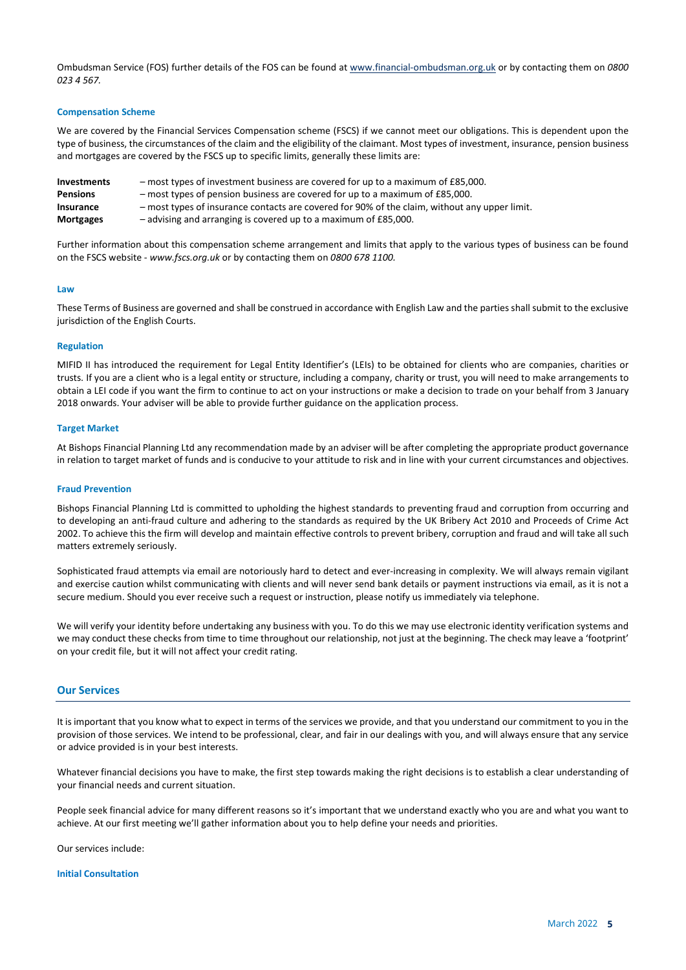Ombudsman Service (FOS) further details of the FOS can be found at www.financial-ombudsman.org.uk or by contacting them on 0800 023 4 567.

# Compensation Scheme

We are covered by the Financial Services Compensation scheme (FSCS) if we cannot meet our obligations. This is dependent upon the type of business, the circumstances of the claim and the eligibility of the claimant. Most types of investment, insurance, pension business and mortgages are covered by the FSCS up to specific limits, generally these limits are:

Investments – most types of investment business are covered for up to a maximum of £85,000. Pensions – most types of pension business are covered for up to a maximum of £85,000. Insurance – most types of insurance contacts are covered for 90% of the claim, without any upper limit. Mortgages – advising and arranging is covered up to a maximum of £85,000.

Further information about this compensation scheme arrangement and limits that apply to the various types of business can be found on the FSCS website - www.fscs.org.uk or by contacting them on 0800 678 1100.

#### **Law**

These Terms of Business are governed and shall be construed in accordance with English Law and the parties shall submit to the exclusive jurisdiction of the English Courts.

# Regulation

MIFID II has introduced the requirement for Legal Entity Identifier's (LEIs) to be obtained for clients who are companies, charities or trusts. If you are a client who is a legal entity or structure, including a company, charity or trust, you will need to make arrangements to obtain a LEI code if you want the firm to continue to act on your instructions or make a decision to trade on your behalf from 3 January 2018 onwards. Your adviser will be able to provide further guidance on the application process.

#### Target Market

At Bishops Financial Planning Ltd any recommendation made by an adviser will be after completing the appropriate product governance in relation to target market of funds and is conducive to your attitude to risk and in line with your current circumstances and objectives.

#### Fraud Prevention

Bishops Financial Planning Ltd is committed to upholding the highest standards to preventing fraud and corruption from occurring and to developing an anti-fraud culture and adhering to the standards as required by the UK Bribery Act 2010 and Proceeds of Crime Act 2002. To achieve this the firm will develop and maintain effective controls to prevent bribery, corruption and fraud and will take all such matters extremely seriously.

Sophisticated fraud attempts via email are notoriously hard to detect and ever-increasing in complexity. We will always remain vigilant and exercise caution whilst communicating with clients and will never send bank details or payment instructions via email, as it is not a secure medium. Should you ever receive such a request or instruction, please notify us immediately via telephone.

We will verify your identity before undertaking any business with you. To do this we may use electronic identity verification systems and we may conduct these checks from time to time throughout our relationship, not just at the beginning. The check may leave a 'footprint' on your credit file, but it will not affect your credit rating.

# Our Services

It is important that you know what to expect in terms of the services we provide, and that you understand our commitment to you in the provision of those services. We intend to be professional, clear, and fair in our dealings with you, and will always ensure that any service or advice provided is in your best interests.

Whatever financial decisions you have to make, the first step towards making the right decisions is to establish a clear understanding of your financial needs and current situation.

People seek financial advice for many different reasons so it's important that we understand exactly who you are and what you want to achieve. At our first meeting we'll gather information about you to help define your needs and priorities.

Our services include:

#### Initial Consultation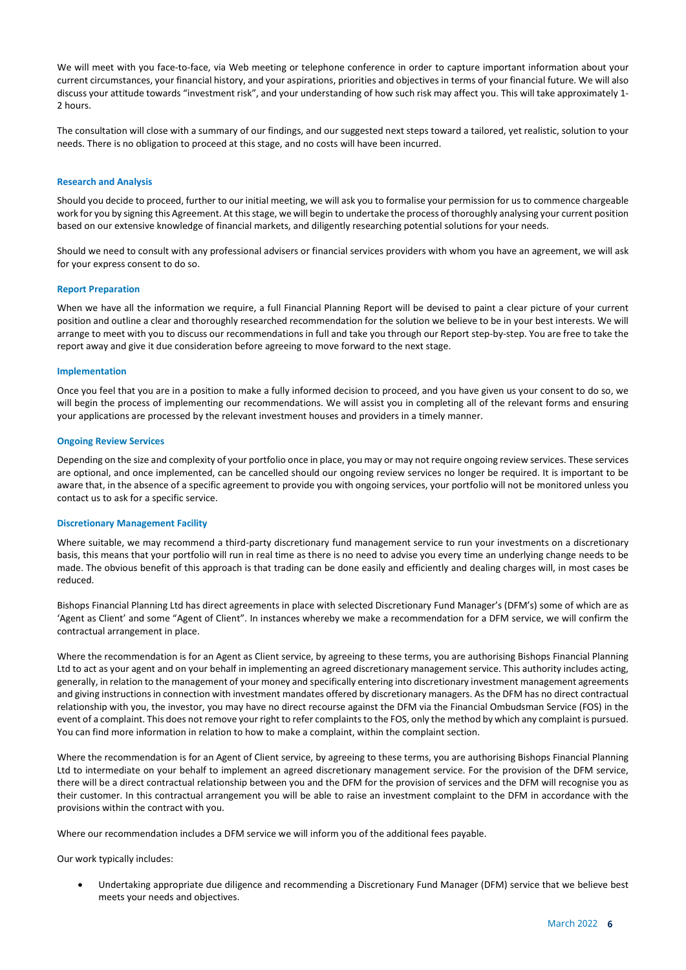We will meet with you face-to-face, via Web meeting or telephone conference in order to capture important information about your current circumstances, your financial history, and your aspirations, priorities and objectives in terms of your financial future. We will also discuss your attitude towards "investment risk", and your understanding of how such risk may affect you. This will take approximately 1- 2 hours.

The consultation will close with a summary of our findings, and our suggested next steps toward a tailored, yet realistic, solution to your needs. There is no obligation to proceed at this stage, and no costs will have been incurred.

## Research and Analysis

Should you decide to proceed, further to our initial meeting, we will ask you to formalise your permission for us to commence chargeable work for you by signing this Agreement. At this stage, we will begin to undertake the process of thoroughly analysing your current position based on our extensive knowledge of financial markets, and diligently researching potential solutions for your needs.

Should we need to consult with any professional advisers or financial services providers with whom you have an agreement, we will ask for your express consent to do so.

#### Report Preparation

When we have all the information we require, a full Financial Planning Report will be devised to paint a clear picture of your current position and outline a clear and thoroughly researched recommendation for the solution we believe to be in your best interests. We will arrange to meet with you to discuss our recommendations in full and take you through our Report step-by-step. You are free to take the report away and give it due consideration before agreeing to move forward to the next stage.

## Implementation

Once you feel that you are in a position to make a fully informed decision to proceed, and you have given us your consent to do so, we will begin the process of implementing our recommendations. We will assist you in completing all of the relevant forms and ensuring your applications are processed by the relevant investment houses and providers in a timely manner.

#### Ongoing Review Services

Depending on the size and complexity of your portfolio once in place, you may or may not require ongoing review services. These services are optional, and once implemented, can be cancelled should our ongoing review services no longer be required. It is important to be aware that, in the absence of a specific agreement to provide you with ongoing services, your portfolio will not be monitored unless you contact us to ask for a specific service.

# Discretionary Management Facility

Where suitable, we may recommend a third-party discretionary fund management service to run your investments on a discretionary basis, this means that your portfolio will run in real time as there is no need to advise you every time an underlying change needs to be made. The obvious benefit of this approach is that trading can be done easily and efficiently and dealing charges will, in most cases be reduced.

Bishops Financial Planning Ltd has direct agreements in place with selected Discretionary Fund Manager's (DFM's) some of which are as 'Agent as Client' and some "Agent of Client". In instances whereby we make a recommendation for a DFM service, we will confirm the contractual arrangement in place.

Where the recommendation is for an Agent as Client service, by agreeing to these terms, you are authorising Bishops Financial Planning Ltd to act as your agent and on your behalf in implementing an agreed discretionary management service. This authority includes acting, generally, in relation to the management of your money and specifically entering into discretionary investment management agreements and giving instructions in connection with investment mandates offered by discretionary managers. As the DFM has no direct contractual relationship with you, the investor, you may have no direct recourse against the DFM via the Financial Ombudsman Service (FOS) in the event of a complaint. This does not remove your right to refer complaints to the FOS, only the method by which any complaint is pursued. You can find more information in relation to how to make a complaint, within the complaint section.

Where the recommendation is for an Agent of Client service, by agreeing to these terms, you are authorising Bishops Financial Planning Ltd to intermediate on your behalf to implement an agreed discretionary management service. For the provision of the DFM service, there will be a direct contractual relationship between you and the DFM for the provision of services and the DFM will recognise you as their customer. In this contractual arrangement you will be able to raise an investment complaint to the DFM in accordance with the provisions within the contract with you.

Where our recommendation includes a DFM service we will inform you of the additional fees payable.

Our work typically includes:

 Undertaking appropriate due diligence and recommending a Discretionary Fund Manager (DFM) service that we believe best meets your needs and objectives.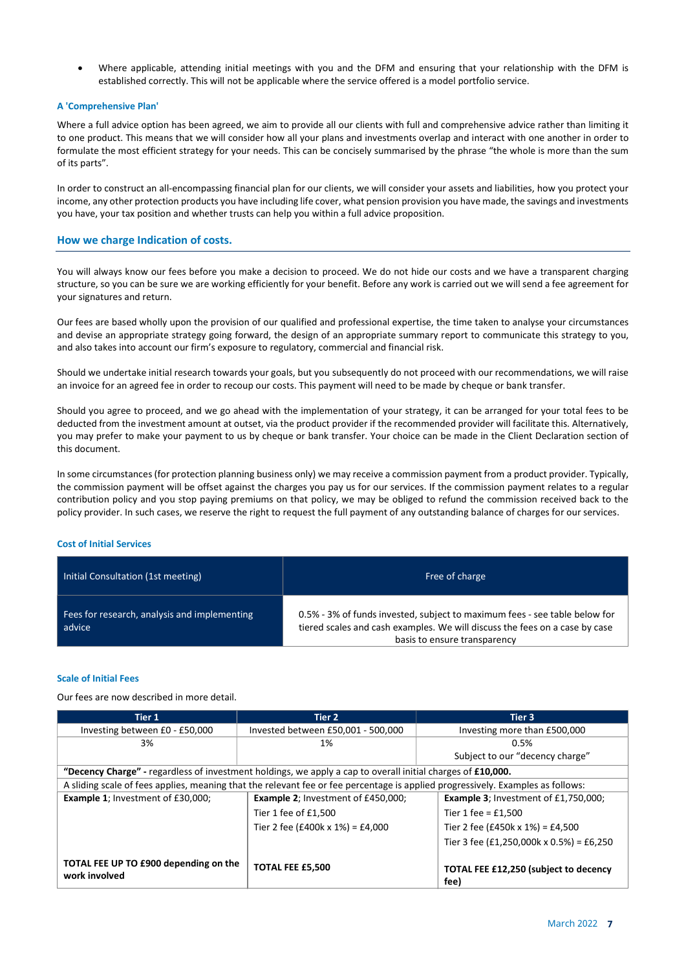Where applicable, attending initial meetings with you and the DFM and ensuring that your relationship with the DFM is established correctly. This will not be applicable where the service offered is a model portfolio service.

# A 'Comprehensive Plan'

Where a full advice option has been agreed, we aim to provide all our clients with full and comprehensive advice rather than limiting it to one product. This means that we will consider how all your plans and investments overlap and interact with one another in order to formulate the most efficient strategy for your needs. This can be concisely summarised by the phrase "the whole is more than the sum of its parts".

In order to construct an all-encompassing financial plan for our clients, we will consider your assets and liabilities, how you protect your income, any other protection products you have including life cover, what pension provision you have made, the savings and investments you have, your tax position and whether trusts can help you within a full advice proposition.

# How we charge Indication of costs.

You will always know our fees before you make a decision to proceed. We do not hide our costs and we have a transparent charging structure, so you can be sure we are working efficiently for your benefit. Before any work is carried out we will send a fee agreement for your signatures and return.

Our fees are based wholly upon the provision of our qualified and professional expertise, the time taken to analyse your circumstances and devise an appropriate strategy going forward, the design of an appropriate summary report to communicate this strategy to you, and also takes into account our firm's exposure to regulatory, commercial and financial risk.

Should we undertake initial research towards your goals, but you subsequently do not proceed with our recommendations, we will raise an invoice for an agreed fee in order to recoup our costs. This payment will need to be made by cheque or bank transfer.

Should you agree to proceed, and we go ahead with the implementation of your strategy, it can be arranged for your total fees to be deducted from the investment amount at outset, via the product provider if the recommended provider will facilitate this. Alternatively, you may prefer to make your payment to us by cheque or bank transfer. Your choice can be made in the Client Declaration section of this document.

In some circumstances (for protection planning business only) we may receive a commission payment from a product provider. Typically, the commission payment will be offset against the charges you pay us for our services. If the commission payment relates to a regular contribution policy and you stop paying premiums on that policy, we may be obliged to refund the commission received back to the policy provider. In such cases, we reserve the right to request the full payment of any outstanding balance of charges for our services.

# Cost of Initial Services

| Initial Consultation (1st meeting)                     | Free of charge                                                                                                                                                                            |
|--------------------------------------------------------|-------------------------------------------------------------------------------------------------------------------------------------------------------------------------------------------|
| Fees for research, analysis and implementing<br>advice | 0.5% - 3% of funds invested, subject to maximum fees - see table below for<br>tiered scales and cash examples. We will discuss the fees on a case by case<br>basis to ensure transparency |

## Scale of Initial Fees

Our fees are now described in more detail.

| Tier 1                                                                                                                          | Tier 2                                     | Tier 3                                        |
|---------------------------------------------------------------------------------------------------------------------------------|--------------------------------------------|-----------------------------------------------|
| Investing between £0 - £50,000                                                                                                  | Invested between £50,001 - 500,000         | Investing more than £500,000                  |
| 3%                                                                                                                              | 1%                                         | 0.5%                                          |
|                                                                                                                                 |                                            | Subject to our "decency charge"               |
| "Decency Charge" - regardless of investment holdings, we apply a cap to overall initial charges of £10,000.                     |                                            |                                               |
| A sliding scale of fees applies, meaning that the relevant fee or fee percentage is applied progressively. Examples as follows: |                                            |                                               |
| <b>Example 1: Investment of £30,000:</b>                                                                                        | <b>Example 2: Investment of £450,000:</b>  | <b>Example 3</b> ; Investment of £1,750,000;  |
|                                                                                                                                 | Tier 1 fee of £1,500                       | Tier 1 fee = $£1,500$                         |
|                                                                                                                                 | Tier 2 fee (£400 $k \times 1\%$ ) = £4,000 | Tier 2 fee (£450k x 1%) = £4,500              |
|                                                                                                                                 |                                            | Tier 3 fee (£1,250,000k x 0.5%) = £6,250      |
| TOTAL FEE UP TO £900 depending on the<br>work involved                                                                          | <b>TOTAL FEE £5,500</b>                    | TOTAL FEE £12,250 (subject to decency<br>fee) |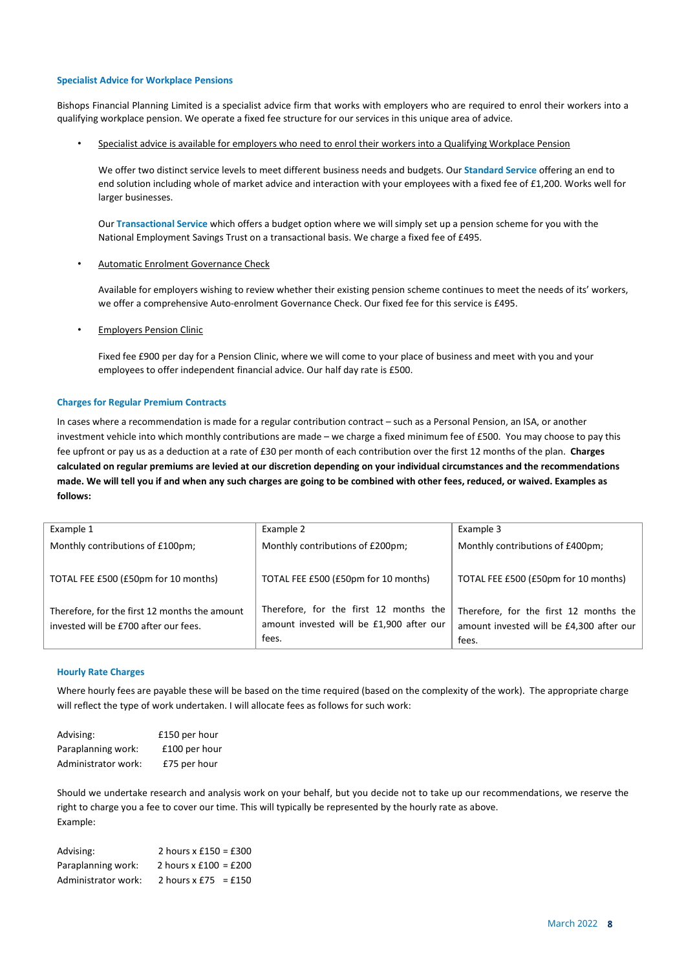# Specialist Advice for Workplace Pensions

Bishops Financial Planning Limited is a specialist advice firm that works with employers who are required to enrol their workers into a qualifying workplace pension. We operate a fixed fee structure for our services in this unique area of advice.

Specialist advice is available for employers who need to enrol their workers into a Qualifying Workplace Pension

We offer two distinct service levels to meet different business needs and budgets. Our Standard Service offering an end to end solution including whole of market advice and interaction with your employees with a fixed fee of £1,200. Works well for larger businesses.

Our Transactional Service which offers a budget option where we will simply set up a pension scheme for you with the National Employment Savings Trust on a transactional basis. We charge a fixed fee of £495.

Automatic Enrolment Governance Check

Available for employers wishing to review whether their existing pension scheme continues to meet the needs of its' workers, we offer a comprehensive Auto-enrolment Governance Check. Our fixed fee for this service is £495.

• Employers Pension Clinic

Fixed fee £900 per day for a Pension Clinic, where we will come to your place of business and meet with you and your employees to offer independent financial advice. Our half day rate is £500.

#### Charges for Regular Premium Contracts

In cases where a recommendation is made for a regular contribution contract – such as a Personal Pension, an ISA, or another investment vehicle into which monthly contributions are made – we charge a fixed minimum fee of £500. You may choose to pay this fee upfront or pay us as a deduction at a rate of £30 per month of each contribution over the first 12 months of the plan. Charges calculated on regular premiums are levied at our discretion depending on your individual circumstances and the recommendations made. We will tell you if and when any such charges are going to be combined with other fees, reduced, or waived. Examples as follows:

| Example 1                                                                              | Example 2                                                                                   | Example 3                                                                                   |
|----------------------------------------------------------------------------------------|---------------------------------------------------------------------------------------------|---------------------------------------------------------------------------------------------|
| Monthly contributions of £100pm;                                                       | Monthly contributions of £200pm;                                                            | Monthly contributions of £400pm;                                                            |
| TOTAL FEE £500 (£50pm for 10 months)                                                   | TOTAL FEE £500 (£50pm for 10 months)                                                        | TOTAL FEE £500 (£50pm for 10 months)                                                        |
| Therefore, for the first 12 months the amount<br>invested will be £700 after our fees. | Therefore, for the first 12 months the<br>amount invested will be £1,900 after our<br>fees. | Therefore, for the first 12 months the<br>amount invested will be £4,300 after our<br>fees. |

# Hourly Rate Charges

Where hourly fees are payable these will be based on the time required (based on the complexity of the work). The appropriate charge will reflect the type of work undertaken. I will allocate fees as follows for such work:

| Advising:           | £150 per hour |
|---------------------|---------------|
| Paraplanning work:  | £100 per hour |
| Administrator work: | £75 per hour  |

Should we undertake research and analysis work on your behalf, but you decide not to take up our recommendations, we reserve the right to charge you a fee to cover our time. This will typically be represented by the hourly rate as above. Example:

| Advising:           | 2 hours $x \pm 150 = \pm 300$ |
|---------------------|-------------------------------|
| Paraplanning work:  | 2 hours $x \pm 100 = \pm 200$ |
| Administrator work: | 2 hours $x \notin 75 = £150$  |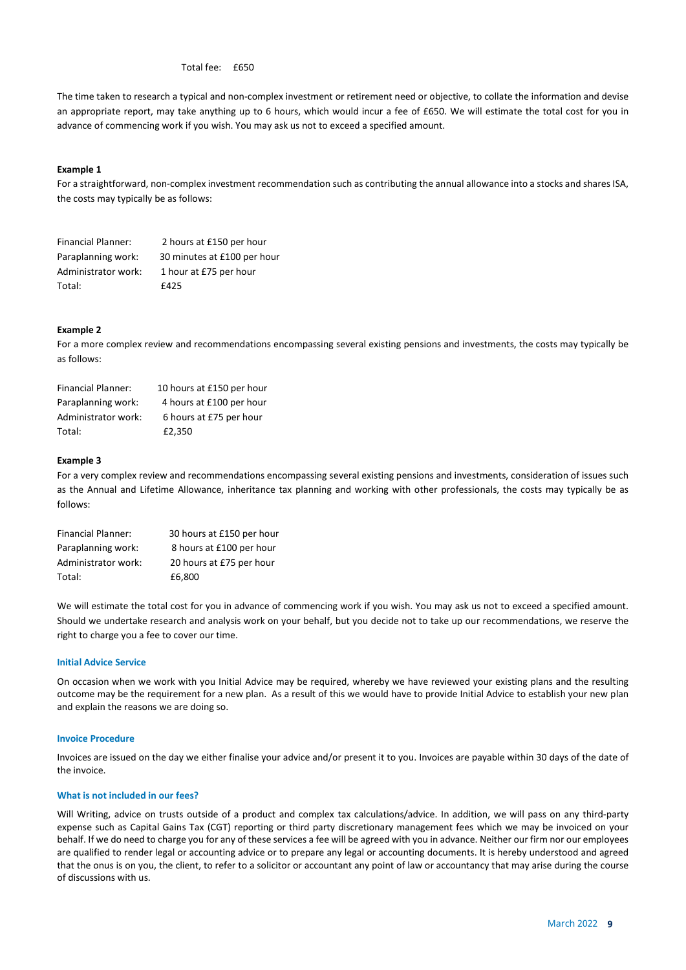Total fee: £650

The time taken to research a typical and non-complex investment or retirement need or objective, to collate the information and devise an appropriate report, may take anything up to 6 hours, which would incur a fee of £650. We will estimate the total cost for you in advance of commencing work if you wish. You may ask us not to exceed a specified amount.

# Example 1

For a straightforward, non-complex investment recommendation such as contributing the annual allowance into a stocks and shares ISA, the costs may typically be as follows:

| <b>Financial Planner:</b> | 2 hours at £150 per hour    |
|---------------------------|-----------------------------|
| Paraplanning work:        | 30 minutes at £100 per hour |
| Administrator work:       | 1 hour at £75 per hour      |
| Total:                    | f425                        |

## Example 2

For a more complex review and recommendations encompassing several existing pensions and investments, the costs may typically be as follows:

| <b>Financial Planner:</b> | 10 hours at £150 per hour |
|---------------------------|---------------------------|
| Paraplanning work:        | 4 hours at £100 per hour  |
| Administrator work:       | 6 hours at £75 per hour   |
| Total:                    | £2.350                    |

#### Example 3

For a very complex review and recommendations encompassing several existing pensions and investments, consideration of issues such as the Annual and Lifetime Allowance, inheritance tax planning and working with other professionals, the costs may typically be as follows:

| <b>Financial Planner:</b> | 30 hours at £150 per hour |
|---------------------------|---------------------------|
| Paraplanning work:        | 8 hours at £100 per hour  |
| Administrator work:       | 20 hours at £75 per hour  |
| Total:                    | £6.800                    |

We will estimate the total cost for you in advance of commencing work if you wish. You may ask us not to exceed a specified amount. Should we undertake research and analysis work on your behalf, but you decide not to take up our recommendations, we reserve the right to charge you a fee to cover our time.

## Initial Advice Service

On occasion when we work with you Initial Advice may be required, whereby we have reviewed your existing plans and the resulting outcome may be the requirement for a new plan. As a result of this we would have to provide Initial Advice to establish your new plan and explain the reasons we are doing so.

# Invoice Procedure

Invoices are issued on the day we either finalise your advice and/or present it to you. Invoices are payable within 30 days of the date of the invoice.

## What is not included in our fees?

Will Writing, advice on trusts outside of a product and complex tax calculations/advice. In addition, we will pass on any third-party expense such as Capital Gains Tax (CGT) reporting or third party discretionary management fees which we may be invoiced on your behalf. If we do need to charge you for any of these services a fee will be agreed with you in advance. Neither our firm nor our employees are qualified to render legal or accounting advice or to prepare any legal or accounting documents. It is hereby understood and agreed that the onus is on you, the client, to refer to a solicitor or accountant any point of law or accountancy that may arise during the course of discussions with us.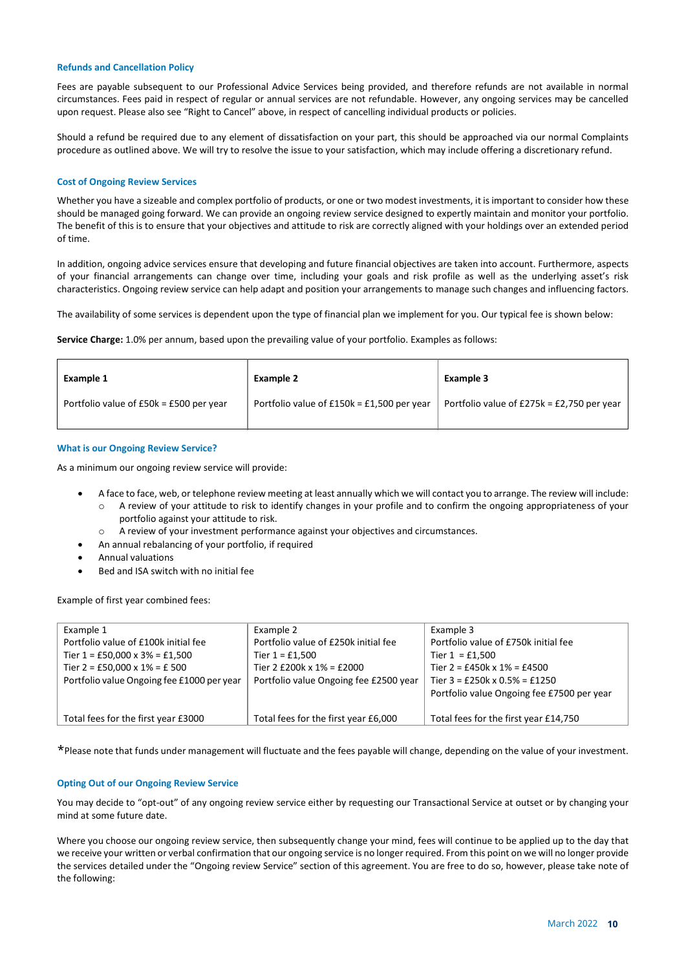# Refunds and Cancellation Policy

Fees are payable subsequent to our Professional Advice Services being provided, and therefore refunds are not available in normal circumstances. Fees paid in respect of regular or annual services are not refundable. However, any ongoing services may be cancelled upon request. Please also see "Right to Cancel" above, in respect of cancelling individual products or policies.

Should a refund be required due to any element of dissatisfaction on your part, this should be approached via our normal Complaints procedure as outlined above. We will try to resolve the issue to your satisfaction, which may include offering a discretionary refund.

# Cost of Ongoing Review Services

Whether you have a sizeable and complex portfolio of products, or one or two modest investments, it is important to consider how these should be managed going forward. We can provide an ongoing review service designed to expertly maintain and monitor your portfolio. The benefit of this is to ensure that your objectives and attitude to risk are correctly aligned with your holdings over an extended period of time.

In addition, ongoing advice services ensure that developing and future financial objectives are taken into account. Furthermore, aspects of your financial arrangements can change over time, including your goals and risk profile as well as the underlying asset's risk characteristics. Ongoing review service can help adapt and position your arrangements to manage such changes and influencing factors.

The availability of some services is dependent upon the type of financial plan we implement for you. Our typical fee is shown below:

Service Charge: 1.0% per annum, based upon the prevailing value of your portfolio. Examples as follows:

| Example 1                               | <b>Example 2</b>                             | <b>Example 3</b>                             |
|-----------------------------------------|----------------------------------------------|----------------------------------------------|
| Portfolio value of £50k = £500 per year | Portfolio value of $£150k = £1,500$ per year | Portfolio value of $£275k = £2,750$ per year |

## What is our Ongoing Review Service?

As a minimum our ongoing review service will provide:

- A face to face, web, or telephone review meeting at least annually which we will contact you to arrange. The review will include:
	- o A review of your attitude to risk to identify changes in your profile and to confirm the ongoing appropriateness of your portfolio against your attitude to risk.
	- o A review of your investment performance against your objectives and circumstances.
	- An annual rebalancing of your portfolio, if required
- Annual valuations
- Bed and ISA switch with no initial fee

Example of first year combined fees:

| Example 1                                  | Example 2                              | Example 3                                  |
|--------------------------------------------|----------------------------------------|--------------------------------------------|
| Portfolio value of £100k initial fee       | Portfolio value of £250k initial fee   | Portfolio value of £750k initial fee       |
| Tier $1 = £50,000 \times 3\% = £1,500$     | Tier $1 = £1,500$                      | Tier $1 = £1.500$                          |
| Tier 2 = £50,000 x $1\%$ = £ 500           | Tier 2 £200k x $1\%$ = £2000           | Tier 2 = £450k x $1\%$ = £4500             |
| Portfolio value Ongoing fee £1000 per year | Portfolio value Ongoing fee £2500 year | Tier $3 = £250k \times 0.5\% = £1250$      |
|                                            |                                        | Portfolio value Ongoing fee £7500 per year |
|                                            |                                        |                                            |
| Total fees for the first year £3000        | Total fees for the first year £6,000   | Total fees for the first year £14,750      |

\*Please note that funds under management will fluctuate and the fees payable will change, depending on the value of your investment.

# Opting Out of our Ongoing Review Service

You may decide to "opt-out" of any ongoing review service either by requesting our Transactional Service at outset or by changing your mind at some future date.

Where you choose our ongoing review service, then subsequently change your mind, fees will continue to be applied up to the day that we receive your written or verbal confirmation that our ongoing service is no longer required. From this point on we will no longer provide the services detailed under the "Ongoing review Service" section of this agreement. You are free to do so, however, please take note of the following: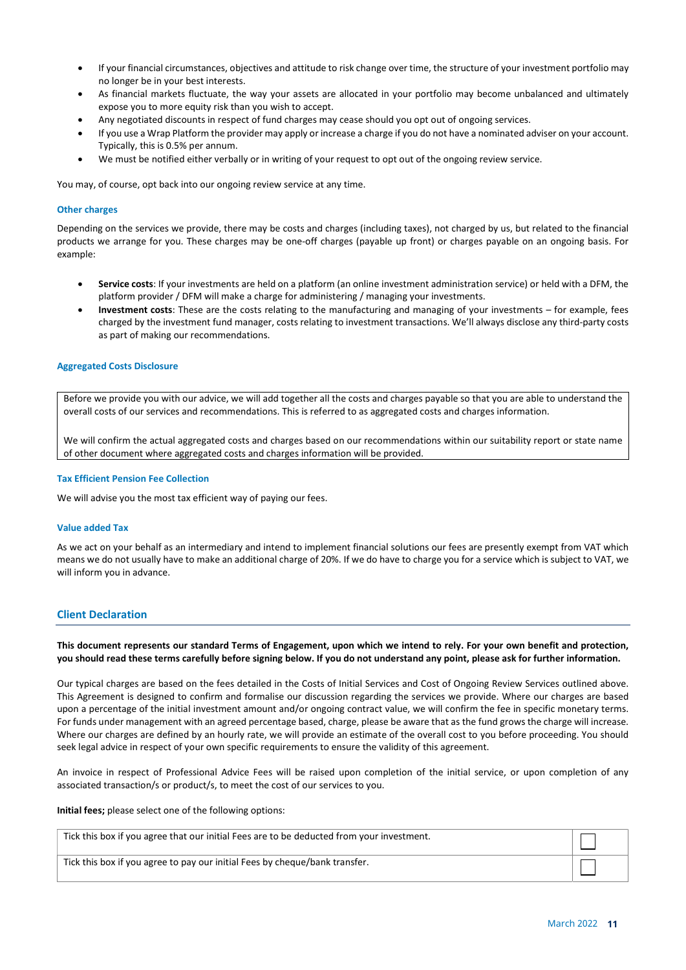- If your financial circumstances, objectives and attitude to risk change over time, the structure of your investment portfolio may no longer be in your best interests.
- As financial markets fluctuate, the way your assets are allocated in your portfolio may become unbalanced and ultimately expose you to more equity risk than you wish to accept.
- Any negotiated discounts in respect of fund charges may cease should you opt out of ongoing services.
- If you use a Wrap Platform the provider may apply or increase a charge if you do not have a nominated adviser on your account. Typically, this is 0.5% per annum.
- We must be notified either verbally or in writing of your request to opt out of the ongoing review service.

You may, of course, opt back into our ongoing review service at any time.

# Other charges

Depending on the services we provide, there may be costs and charges (including taxes), not charged by us, but related to the financial products we arrange for you. These charges may be one-off charges (payable up front) or charges payable on an ongoing basis. For example:

- Service costs: If your investments are held on a platform (an online investment administration service) or held with a DFM, the platform provider / DFM will make a charge for administering / managing your investments.
- Investment costs: These are the costs relating to the manufacturing and managing of your investments for example, fees charged by the investment fund manager, costs relating to investment transactions. We'll always disclose any third-party costs as part of making our recommendations.

# Aggregated Costs Disclosure

Before we provide you with our advice, we will add together all the costs and charges payable so that you are able to understand the overall costs of our services and recommendations. This is referred to as aggregated costs and charges information.

We will confirm the actual aggregated costs and charges based on our recommendations within our suitability report or state name of other document where aggregated costs and charges information will be provided.

# Tax Efficient Pension Fee Collection

We will advise you the most tax efficient way of paying our fees.

# Value added Tax

As we act on your behalf as an intermediary and intend to implement financial solutions our fees are presently exempt from VAT which means we do not usually have to make an additional charge of 20%. If we do have to charge you for a service which is subject to VAT, we will inform you in advance.

# Client Declaration

# This document represents our standard Terms of Engagement, upon which we intend to rely. For your own benefit and protection, you should read these terms carefully before signing below. If you do not understand any point, please ask for further information.

Our typical charges are based on the fees detailed in the Costs of Initial Services and Cost of Ongoing Review Services outlined above. This Agreement is designed to confirm and formalise our discussion regarding the services we provide. Where our charges are based upon a percentage of the initial investment amount and/or ongoing contract value, we will confirm the fee in specific monetary terms. For funds under management with an agreed percentage based, charge, please be aware that as the fund grows the charge will increase. Where our charges are defined by an hourly rate, we will provide an estimate of the overall cost to you before proceeding. You should seek legal advice in respect of your own specific requirements to ensure the validity of this agreement.

An invoice in respect of Professional Advice Fees will be raised upon completion of the initial service, or upon completion of any associated transaction/s or product/s, to meet the cost of our services to you.

Initial fees; please select one of the following options:

| Tick this box if you agree that our initial Fees are to be deducted from your investment. |  |
|-------------------------------------------------------------------------------------------|--|
| Tick this box if you agree to pay our initial Fees by cheque/bank transfer.               |  |